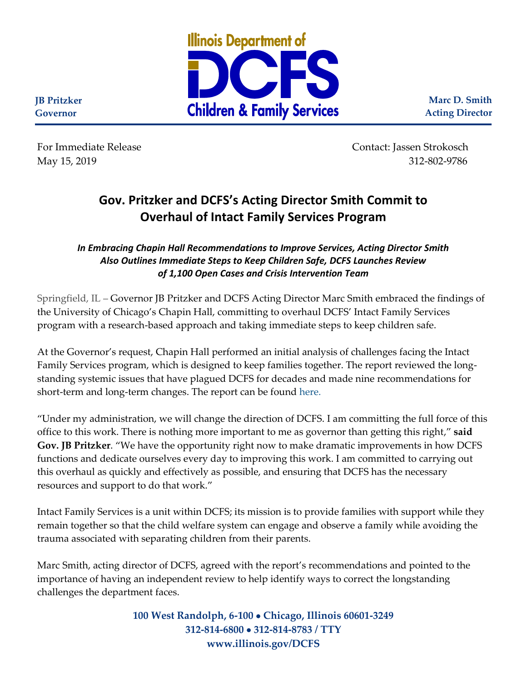

**Marc D. Smith Acting Director**

**JB Pritzker Governor**

For Immediate Release Contact: Jassen Strokosch May 15, 2019 312-802-9786

## **Gov. Pritzker and DCFS's Acting Director Smith Commit to Overhaul of Intact Family Services Program**

*In Embracing Chapin Hall Recommendations to Improve Services, Acting Director Smith Also Outlines Immediate Steps to Keep Children Safe, DCFS Launches Review of 1,100 Open Cases and Crisis Intervention Team*

Springfield, IL – Governor JB Pritzker and DCFS Acting Director Marc Smith embraced the findings of the University of Chicago's Chapin Hall, committing to overhaul DCFS' Intact Family Services program with a research-based approach and taking immediate steps to keep children safe.

At the Governor's request, Chapin Hall performed an initial analysis of challenges facing the Intact Family Services program, which is designed to keep families together. The report reviewed the longstanding systemic issues that have plagued DCFS for decades and made nine recommendations for short-term and long-term changes. The report can be found [here.](https://www.chapinhall.org/news/chapin-hall-identifies-systemic-issues-in-assessment-of-il-dcps-intact-families-program/)

"Under my administration, we will change the direction of DCFS. I am committing the full force of this office to this work. There is nothing more important to me as governor than getting this right," **said Gov. JB Pritzker**. "We have the opportunity right now to make dramatic improvements in how DCFS functions and dedicate ourselves every day to improving this work. I am committed to carrying out this overhaul as quickly and effectively as possible, and ensuring that DCFS has the necessary resources and support to do that work."

Intact Family Services is a unit within DCFS; its mission is to provide families with support while they remain together so that the child welfare system can engage and observe a family while avoiding the trauma associated with separating children from their parents.

Marc Smith, acting director of DCFS, agreed with the report's recommendations and pointed to the importance of having an independent review to help identify ways to correct the longstanding challenges the department faces.

> **100 West Randolph, 6-100** • **Chicago, Illinois 60601-3249 312-814-6800** • **312-814-8783 / TTY www.illinois.gov/DCFS**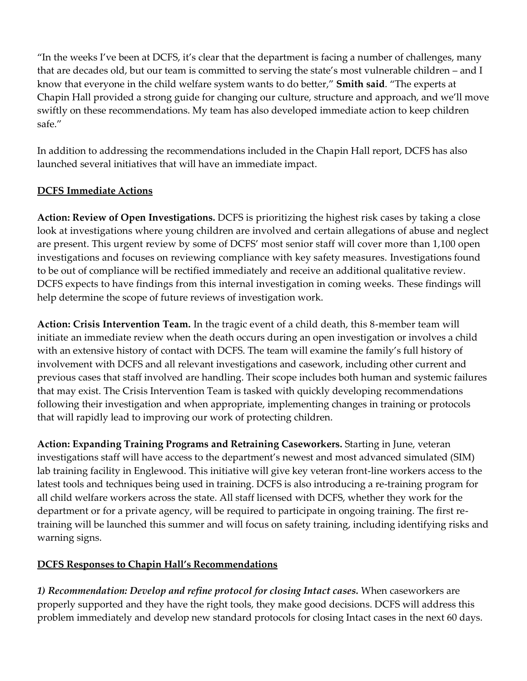"In the weeks I've been at DCFS, it's clear that the department is facing a number of challenges, many that are decades old, but our team is committed to serving the state's most vulnerable children – and I know that everyone in the child welfare system wants to do better," **Smith said**. "The experts at Chapin Hall provided a strong guide for changing our culture, structure and approach, and we'll move swiftly on these recommendations. My team has also developed immediate action to keep children safe."

In addition to addressing the recommendations included in the Chapin Hall report, DCFS has also launched several initiatives that will have an immediate impact.

## **DCFS Immediate Actions**

**Action: Review of Open Investigations.** DCFS is prioritizing the highest risk cases by taking a close look at investigations where young children are involved and certain allegations of abuse and neglect are present. This urgent review by some of DCFS' most senior staff will cover more than 1,100 open investigations and focuses on reviewing compliance with key safety measures. Investigations found to be out of compliance will be rectified immediately and receive an additional qualitative review. DCFS expects to have findings from this internal investigation in coming weeks. These findings will help determine the scope of future reviews of investigation work.

**Action: Crisis Intervention Team.** In the tragic event of a child death, this 8-member team will initiate an immediate review when the death occurs during an open investigation or involves a child with an extensive history of contact with DCFS. The team will examine the family's full history of involvement with DCFS and all relevant investigations and casework, including other current and previous cases that staff involved are handling. Their scope includes both human and systemic failures that may exist. The Crisis Intervention Team is tasked with quickly developing recommendations following their investigation and when appropriate, implementing changes in training or protocols that will rapidly lead to improving our work of protecting children.

**Action: Expanding Training Programs and Retraining Caseworkers.** Starting in June, veteran investigations staff will have access to the department's newest and most advanced simulated (SIM) lab training facility in Englewood. This initiative will give key veteran front-line workers access to the latest tools and techniques being used in training. DCFS is also introducing a re-training program for all child welfare workers across the state. All staff licensed with DCFS, whether they work for the department or for a private agency, will be required to participate in ongoing training. The first retraining will be launched this summer and will focus on safety training, including identifying risks and warning signs.

## **DCFS Responses to Chapin Hall's Recommendations**

*1) Recommendation: Develop and refine protocol for closing Intact cases.* When caseworkers are properly supported and they have the right tools, they make good decisions. DCFS will address this problem immediately and develop new standard protocols for closing Intact cases in the next 60 days.